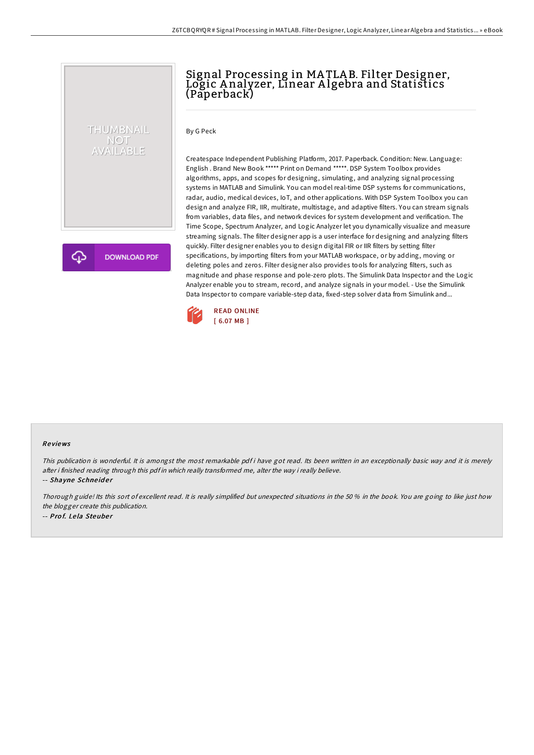## THUMBNAIL NOT<br>AVAILABLE

Signal Processing in MA TLA B. Filter Designer, Logic A nalyzer, Linear A lgebra and Statistics (Paperback)

By G Peck

**DOWNLOAD PDF** 

Createspace Independent Publishing Platform, 2017. Paperback. Condition: New. Language: English . Brand New Book \*\*\*\*\* Print on Demand \*\*\*\*\*. DSP System Toolbox provides algorithms, apps, and scopes for designing, simulating, and analyzing signal processing systems in MATLAB and Simulink. You can model real-time DSP systems for communications, radar, audio, medical devices, IoT, and other applications. With DSP System Toolbox you can design and analyze FIR, IIR, multirate, multistage, and adaptive filters. You can stream signals from variables, data files, and network devices for system development and verification. The Time Scope, Spectrum Analyzer, and Logic Analyzer let you dynamically visualize and measure streaming signals. The filter designer app is a user interface for designing and analyzing filters quickly. Filter designer enables you to design digital FIR or IIR filters by setting filter specifications, by importing filters from your MATLAB workspace, or by adding, moving or deleting poles and zeros. Filter designer also provides tools for analyzing filters, such as magnitude and phase response and pole-zero plots. The Simulink Data Inspector and the Logic Analyzer enable you to stream, record, and analyze signals in your model. - Use the Simulink Data Inspector to compare variable-step data, fixed-step solver data from Simulink and...



## Re views

This publication is wonderful. It is amongst the most remarkable pdf i have got read. Its been written in an exceptionally basic way and it is merely after i finished reading through this pdf in which really transformed me, alter the way i really believe.

-- Shayne Schneider

Thorough guide! Its this sort of excellent read. It is really simplified but unexpected situations in the 50 % in the book. You are going to like just how the blogger create this publication. -- Prof. Lela Steuber